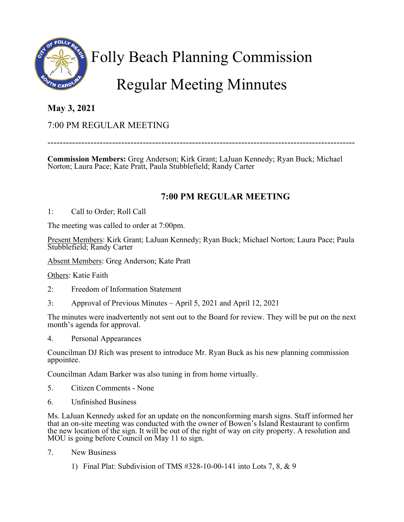

# Folly Beach Planning Commission Regular Meeting Minnutes

### **May 3, 2021**

### 7:00 PM REGULAR MEETING

----------------------------------------------------------------------------------------------------

**Commission Members:** Greg Anderson; Kirk Grant; LaJuan Kennedy; Ryan Buck; Michael Norton; Laura Pace; Kate Pratt, Paula Stubblefield; Randy Carter

#### **7:00 PM REGULAR MEETING**

1: Call to Order; Roll Call

The meeting was called to order at 7:00pm.

Present Members: Kirk Grant; LaJuan Kennedy; Ryan Buck; Michael Norton; Laura Pace; Paula Stubblefield; Randy Carter

Absent Members: Greg Anderson; Kate Pratt

Others: Katie Faith

- 2: Freedom of Information Statement
- 3: Approval of Previous Minutes April 5, 2021 and April 12, 2021

The minutes were inadvertently not sent out to the Board for review. They will be put on the next month's agenda for approval.

4. Personal Appearances

Councilman DJ Rich was present to introduce Mr. Ryan Buck as his new planning commission appointee.

Councilman Adam Barker was also tuning in from home virtually.

- 5. Citizen Comments None
- 6. Unfinished Business

Ms. LaJuan Kennedy asked for an update on the nonconforming marsh signs. Staff informed her that an on-site meeting was conducted with the owner of Bowen's Island Restaurant to confirm the new location of the sign. It will be out of the right of way on city property. A resolution and MOU is going before Council on May 11 to sign.

- 7. New Business
	- 1) Final Plat: Subdivision of TMS #328-10-00-141 into Lots 7, 8, & 9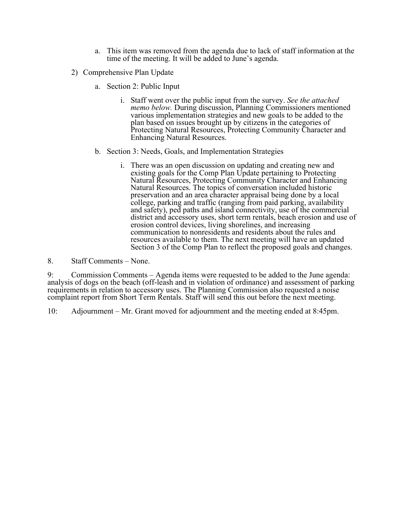- a. This item was removed from the agenda due to lack of staff information at the time of the meeting. It will be added to June's agenda.
- 2) Comprehensive Plan Update
	- a. Section 2: Public Input
		- i. Staff went over the public input from the survey. *See the attached memo below.* During discussion, Planning Commissioners mentioned various implementation strategies and new goals to be added to the plan based on issues brought up by citizens in the categories of Protecting Natural Resources, Protecting Community Character and Enhancing Natural Resources.
	- b. Section 3: Needs, Goals, and Implementation Strategies
		- i. There was an open discussion on updating and creating new and existing goals for the Comp Plan Update pertaining to Protecting Natural Resources, Protecting Community Character and Enhancing Natural Resources. The topics of conversation included historic preservation and an area character appraisal being done by a local college, parking and traffic (ranging from paid parking, availability and safety), ped paths and island connectivity, use of the commercial district and accessory uses, short term rentals, beach erosion and use of erosion control devices, living shorelines, and increasing communication to nonresidents and residents about the rules and resources available to them. The next meeting will have an updated Section 3 of the Comp Plan to reflect the proposed goals and changes.

8. Staff Comments – None.

9: Commission Comments – Agenda items were requested to be added to the June agenda: analysis of dogs on the beach (off-leash and in violation of ordinance) and assessment of parking requirements in relation to accessory uses. The Planning Commission also requested a noise complaint report from Short Term Rentals. Staff will send this out before the next meeting.

10: Adjournment – Mr. Grant moved for adjournment and the meeting ended at 8:45pm.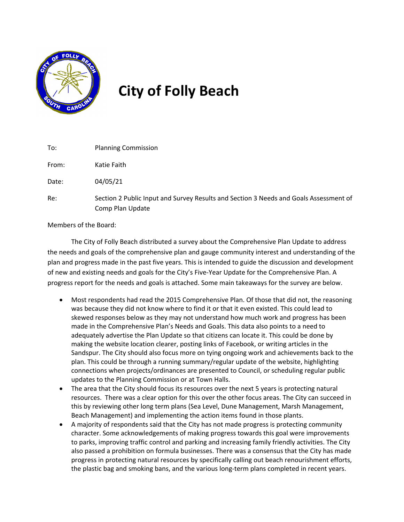

## **City of Folly Beach**

| To:   | <b>Planning Commission</b>                                                                                |
|-------|-----------------------------------------------------------------------------------------------------------|
| From: | Katie Faith                                                                                               |
| Date: | 04/05/21                                                                                                  |
| Re:   | Section 2 Public Input and Survey Results and Section 3 Needs and Goals Assessment of<br>Comp Plan Update |

Members of the Board:

The City of Folly Beach distributed a survey about the Comprehensive Plan Update to address the needs and goals of the comprehensive plan and gauge community interest and understanding of the plan and progress made in the past five years. This is intended to guide the discussion and development of new and existing needs and goals for the City's Five-Year Update for the Comprehensive Plan. A progress report for the needs and goals is attached. Some main takeaways for the survey are below.

- Most respondents had read the 2015 Comprehensive Plan. Of those that did not, the reasoning was because they did not know where to find it or that it even existed. This could lead to skewed responses below as they may not understand how much work and progress has been made in the Comprehensive Plan's Needs and Goals. This data also points to a need to adequately advertise the Plan Update so that citizens can locate it. This could be done by making the website location clearer, posting links of Facebook, or writing articles in the Sandspur. The City should also focus more on tying ongoing work and achievements back to the plan. This could be through a running summary/regular update of the website, highlighting connections when projects/ordinances are presented to Council, or scheduling regular public updates to the Planning Commission or at Town Halls.
- The area that the City should focus its resources over the next 5 years is protecting natural resources. There was a clear option for this over the other focus areas. The City can succeed in this by reviewing other long term plans (Sea Level, Dune Management, Marsh Management, Beach Management) and implementing the action items found in those plants.
- A majority of respondents said that the City has not made progress is protecting community character. Some acknowledgements of making progress towards this goal were improvements to parks, improving traffic control and parking and increasing family friendly activities. The City also passed a prohibition on formula businesses. There was a consensus that the City has made progress in protecting natural resources by specifically calling out beach renourishment efforts, the plastic bag and smoking bans, and the various long-term plans completed in recent years.